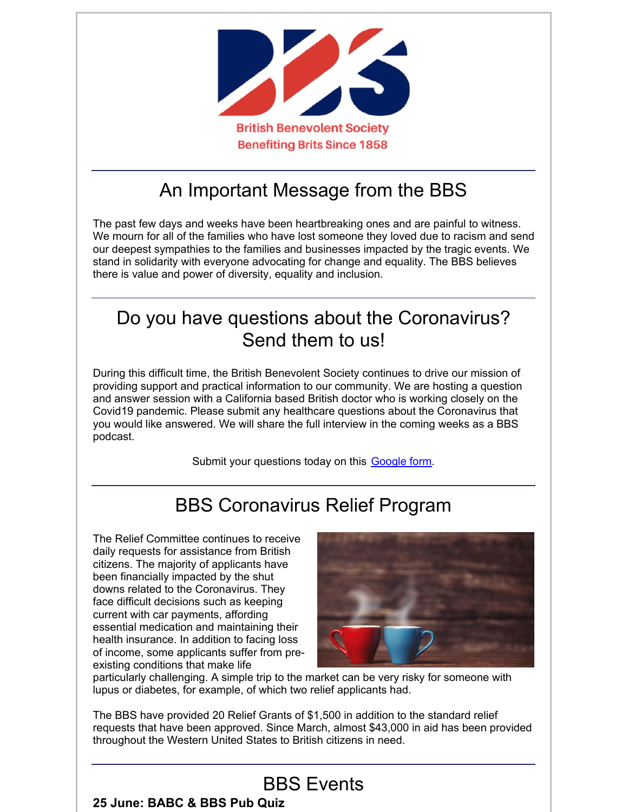

# An Important Message from the BBS

The past few days and weeks have been heartbreaking ones and are painful to witness. We mourn for all of the families who have lost someone they loved due to racism and send our deepest sympathies to the families and businesses impacted by the tragic events. We stand in solidarity with everyone advocating for change and equality. The BBS believes there is value and power of diversity, equality and inclusion.

# Do you have questions about the Coronavirus? Send them to us!

During this difficult time, the British Benevolent Society continues to drive our mission of providing support and practical information to our community. We are hosting a question and answer session with a California based British doctor who is working closely on the Covid19 pandemic. Please submit any healthcare questions about the Coronavirus that you would like answered. We will share the full interview in the coming weeks as a BBS podcast.

Submit your questions today on this **[Google](https://docs.google.com/forms/d/e/1FAIpQLScTkd69u70jJo7-n5aLAFwH0bvrLK0xWtBJHMGRByz9Kd28RQ/viewform?usp=sf_link) form**.

# BBS Coronavirus Relief Program

The Relief Committee continues to receive daily requests for assistance from British citizens. The majority of applicants have been financially impacted by the shut downs related to the Coronavirus. They face difficult decisions such as keeping current with car payments, affording essential medication and maintaining their health insurance. In addition to facing loss of income, some applicants suffer from preexisting conditions that make life



particularly challenging. A simple trip to the market can be very risky for someone with lupus or diabetes, for example, of which two relief applicants had.

The BBS have provided 20 Relief Grants of \$1,500 in addition to the standard relief requests that have been approved. Since March, almost \$43,000 in aid has been provided throughout the Western United States to British citizens in need.

### BBS Events

#### **25 June: BABC & BBS Pub Quiz**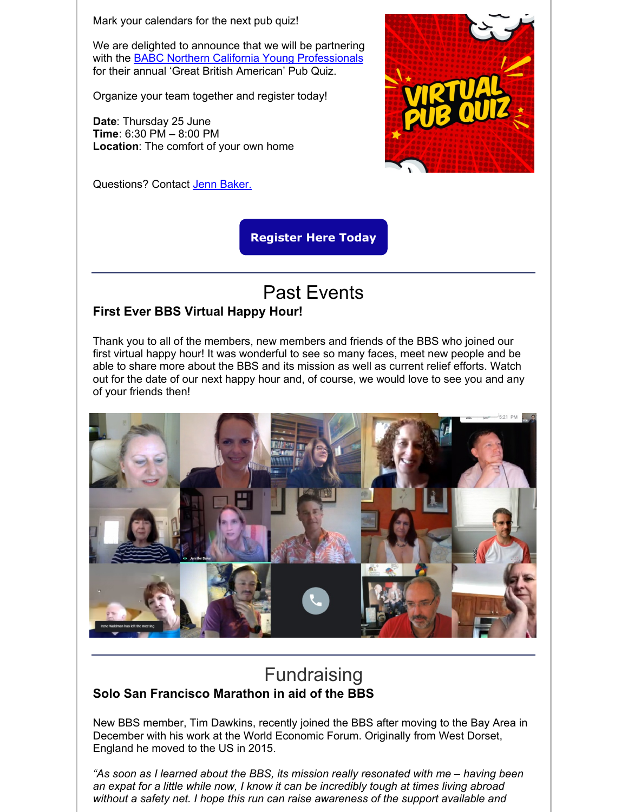Mark your calendars for the next pub quiz!

We are delighted to announce that we will be partnering with the BABC Northern California Young [Professionals](https://babcsf.org/young-professionals/) for their annual 'Great British American' Pub Quiz.

Organize your team together and register today!

**Date**: Thursday 25 June **Time**: 6:30 PM – 8:00 PM **Location**: The comfort of your own home

Questions? Contact Jenn [Baker.](mailto:Jennifer.baker@bbsofca.org)



**[Register](https://www.eventbrite.com/e/babc-bbs-virtual-pub-quiz-tickets-108486636450) Here Today**

# Past Events

#### **First Ever BBS Virtual Happy Hour!**

Thank you to all of the members, new members and friends of the BBS who joined our first virtual happy hour! It was wonderful to see so many faces, meet new people and be able to share more about the BBS and its mission as well as current relief efforts. Watch out for the date of our next happy hour and, of course, we would love to see you and any of your friends then!



### **Fundraising Solo San Francisco Marathon in aid of the BBS**

New BBS member, Tim Dawkins, recently joined the BBS after moving to the Bay Area in December with his work at the World Economic Forum. Originally from West Dorset, England he moved to the US in 2015.

*"As soon as I learned about the BBS, its mission really resonated with me – having been an expat for a little while now, I know it can be incredibly tough at times living abroad without a safety net. I hope this run can raise awareness of the support available and*